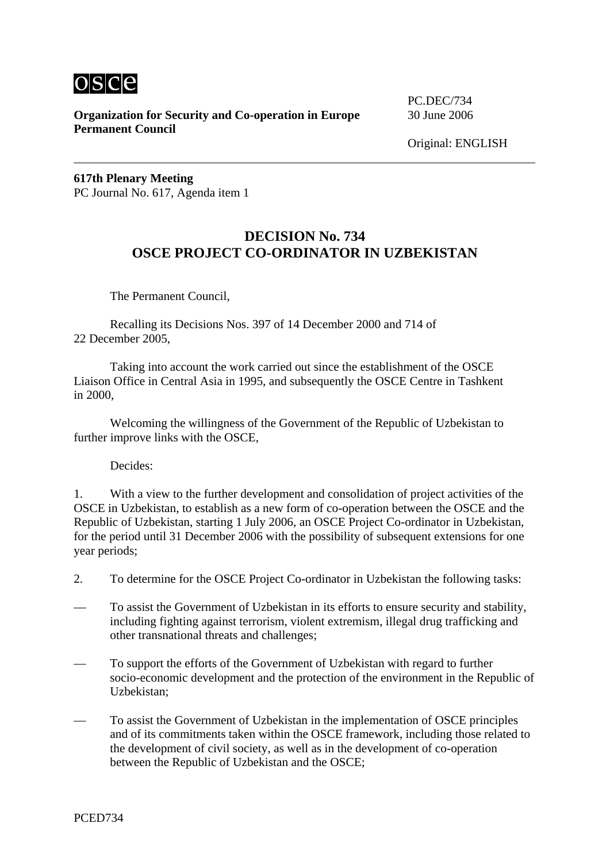

**Organization for Security and Co-operation in Europe** 30 June 2006 **Permanent Council** 

PC.DEC/734

**617th Plenary Meeting**  PC Journal No. 617, Agenda item 1

## **DECISION No. 734 OSCE PROJECT CO-ORDINATOR IN UZBEKISTAN**

The Permanent Council,

 Recalling its Decisions Nos. 397 of 14 December 2000 and 714 of 22 December 2005,

 Taking into account the work carried out since the establishment of the OSCE Liaison Office in Central Asia in 1995, and subsequently the OSCE Centre in Tashkent in 2000,

 Welcoming the willingness of the Government of the Republic of Uzbekistan to further improve links with the OSCE,

Decides:

1. With a view to the further development and consolidation of project activities of the OSCE in Uzbekistan, to establish as a new form of co-operation between the OSCE and the Republic of Uzbekistan, starting 1 July 2006, an OSCE Project Co-ordinator in Uzbekistan, for the period until 31 December 2006 with the possibility of subsequent extensions for one year periods;

- 2. To determine for the OSCE Project Co-ordinator in Uzbekistan the following tasks:
- To assist the Government of Uzbekistan in its efforts to ensure security and stability, including fighting against terrorism, violent extremism, illegal drug trafficking and other transnational threats and challenges;
- To support the efforts of the Government of Uzbekistan with regard to further socio-economic development and the protection of the environment in the Republic of Uzbekistan;
- To assist the Government of Uzbekistan in the implementation of OSCE principles and of its commitments taken within the OSCE framework, including those related to the development of civil society, as well as in the development of co-operation between the Republic of Uzbekistan and the OSCE;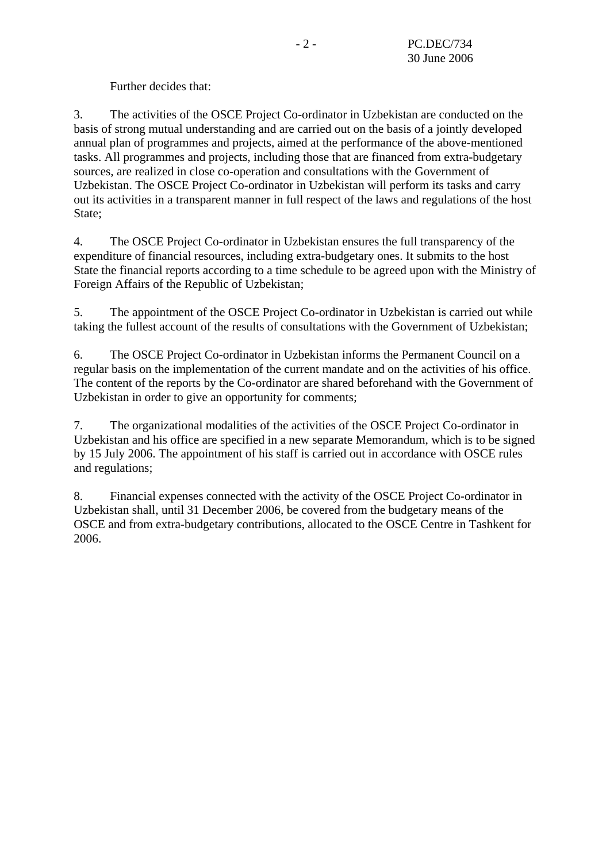Further decides that:

3. The activities of the OSCE Project Co-ordinator in Uzbekistan are conducted on the basis of strong mutual understanding and are carried out on the basis of a jointly developed annual plan of programmes and projects, aimed at the performance of the above-mentioned tasks. All programmes and projects, including those that are financed from extra-budgetary sources, are realized in close co-operation and consultations with the Government of Uzbekistan. The OSCE Project Co-ordinator in Uzbekistan will perform its tasks and carry out its activities in a transparent manner in full respect of the laws and regulations of the host State;

4. The OSCE Project Co-ordinator in Uzbekistan ensures the full transparency of the expenditure of financial resources, including extra-budgetary ones. It submits to the host State the financial reports according to a time schedule to be agreed upon with the Ministry of Foreign Affairs of the Republic of Uzbekistan;

5. The appointment of the OSCE Project Co-ordinator in Uzbekistan is carried out while taking the fullest account of the results of consultations with the Government of Uzbekistan;

6. The OSCE Project Co-ordinator in Uzbekistan informs the Permanent Council on a regular basis on the implementation of the current mandate and on the activities of his office. The content of the reports by the Co-ordinator are shared beforehand with the Government of Uzbekistan in order to give an opportunity for comments;

7. The organizational modalities of the activities of the OSCE Project Co-ordinator in Uzbekistan and his office are specified in a new separate Memorandum, which is to be signed by 15 July 2006. The appointment of his staff is carried out in accordance with OSCE rules and regulations;

8. Financial expenses connected with the activity of the OSCE Project Co-ordinator in Uzbekistan shall, until 31 December 2006, be covered from the budgetary means of the OSCE and from extra-budgetary contributions, allocated to the OSCE Centre in Tashkent for 2006.